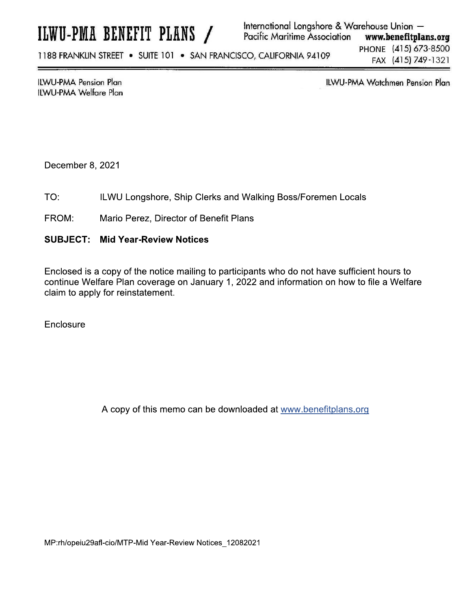# ILWU-PMA BENEFIT PLANS /

#### International Longshore & Warehouse Union -**Pacific Maritime Association** www.benefitplans.org

1188 FRANKLIN STREET . SUITE 101 . SAN FRANCISCO, CALIFORNIA 94109

PHONE (415) 673-8500 FAX (415) 749-1321

**ILWU-PMA Pension Plan ILWU-PMA Welfare Plan**  **ILWU-PMA Watchmen Pension Plan** 

December 8, 2021

- ILWU Longshore, Ship Clerks and Walking Boss/Foremen Locals TO:
- FROM: Mario Perez, Director of Benefit Plans
- **SUBJECT: Mid Year-Review Notices**

Enclosed is a copy of the notice mailing to participants who do not have sufficient hours to continue Welfare Plan coverage on January 1, 2022 and information on how to file a Welfare claim to apply for reinstatement.

Enclosure

A copy of this memo can be downloaded at www.benefitplans.org

MP:rh/opeiu29afl-cio/MTP-Mid Year-Review Notices 12082021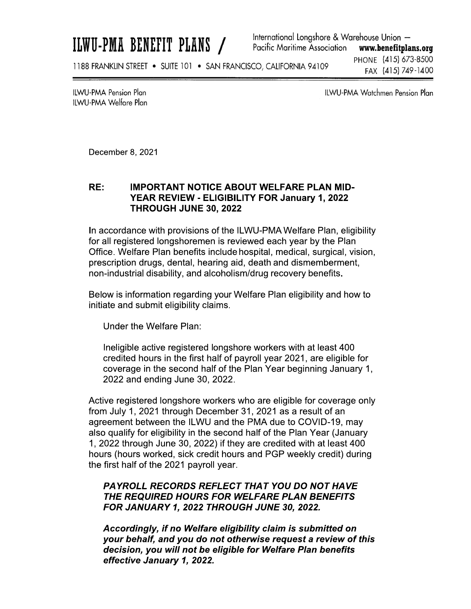ILWU-PMA BENEFIT PLANS /

International Longshore & Warehouse Union -Pacific Maritime Association www.benefitplans.org PHONE (415) 673-8500

1188 FRANKLIN STREET . SUITE 101 . SAN FRANCISCO, CALIFORNIA 94109

FAX (415) 749-1400

**ILWU-PMA Pension Plan** ILWU-PMA Welfare Plan **ILWU-PMA Watchmen Pension Plan** 

December 8, 2021

## RE: IMPORTANT NOTICE ABOUT WELFARE PLAN MID-<br>YEAR REVIEW - ELIGIBILITY FOR January 1, 2022 **THROUGH JUNE 30, 2022**

8, 2021<br> **IMPORTANT NOTICE ABOUT WELFARE PLAN MID-<br>
YEAR REVIEW - ELIGIBILITY FOR January 1, 2022<br>
THROUGH JUNE 30, 2022<br>
Ince with provisions of the ILWU-PMA Welfare Plan, eligibility<br>
stered longshoremen is reviewed each** In accordance with provisions of the ILWU-PMA Welfare Plan, eligibility for all registered longshoremen is reviewed each year by the Plan Office. Welfare Plan benefits include hospital, medical, surgical, vision, prescription drugs, dental, hearing aid, death and dismemberment, non-industrial disability, and alcoholism/drug recovery benefits.

Below is information regarding your Welfare Plan eligibility and how to initiate and submit eligibility claims.

Under the Welfare Plan:

Ineligible active registered longshore workers with at least 400  $c$  redited nours in the first hair of payroll year 2021, are eligible for coverage in the second half of the Plan Year beginning January 1, 2022 and ending June 30, 2022.  $\,$ 

Active registered longshore workers who are eligible for coverage only from July 1, 2021 through December 31, 2021 as a result of an agreement between the ILWU and the PMA due to COVID-19, may also qualify for eligibility in the second half of the Plan Year (January  $\frac{1}{5}$ , 2022 through June 30, 2022) if they are credited with at least 400 hours (hours worked, sick credit hours and PGP weekly credit) during the first haif of the 2021 payroll year.

#### $\mathbb{Z}^{\mathbb{Z}}$ WXYZ[\\Z]^[Z\_`Z]a\]^bbcXbY[d\_[e[bcXf] THE REQUIRED HOURS FOR WELFARE PLAN BENEFITS FOR JANUARY 1, 2022 THROUGH JUNE 30, 2022.

 $\mathbb{R}^2$ Accoraingly, it no weitare eligibility claim is submitted on  $\overline{\phantom{a}}$ your behalf, and you do not otherwise request a review of this decision, you will not be eligible for Welfare Plan benefits effective January 1, 2022.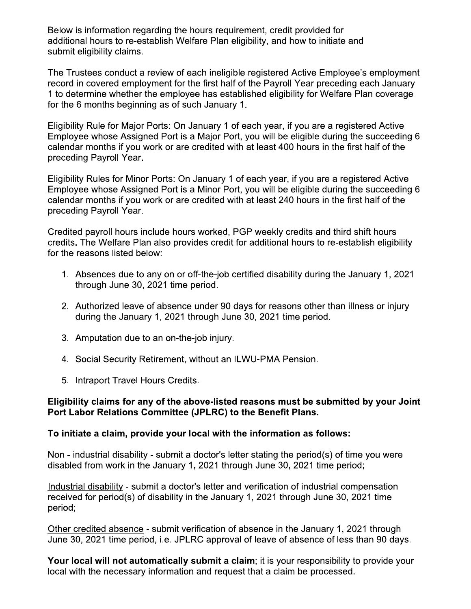Below is information regarding the hours requirement, credit provided for additional hours to re-establish Welfare Plan eligibility, and how to initiate and submit eligibility claims.

The Trustees conduct a review of each ineligible registered Active Employee's employment record in covered employment for the first half of the Payroll Year preceding each January 1 to determine whether the employee has established eligibility for Welfare Plan coverage for the 6 months beginning as of such January 1.

Eligibility Rule for Major Ports: On January 1 of each year, if you are a registered Active Employee whose Assigned Port is a Major Port, you will be eligible during the succeeding 6 calendar months if you work or are credited with at least 400 hours in the first half of the preceding Payroll Year.

Eligibility Rules for Minor Ports: On January 1 of each year, if you are a registered Active Employee whose Assigned Port is a Minor Port, you will be eligible during the succeeding 6 calendar months if you work or are credited with at least 240 hours in the first half of the preceding Payroll Year.

Credited payroll hours include hours worked, PGP weekly credits and third shift hours credits. The Welfare Plan also provides credit for additional hours to re-establish eligibility for the reasons listed below:

- 1. Absences due to any on or off-the-job certified disability during the January 1, 2021 through June 30, 2021 time period.
- 2. Authorized leave of absence under 90 days for reasons other than illness or injury during the January 1, 2021 through June 30, 2021 time period.
- 3. Amputation due to an on-the-job injury.
- 4. Social Security Retirement, without an ILWU-PMA Pension.
- 5. Intraport Travel Hours Credits.

### Eligibility claims for any of the above-listed reasons must be submitted by your Joint Port Labor Relations Committee (JPLRC) to the Benefit Plans.

### To initiate a claim, provide your local with the information as follows:

Non - industrial disability - submit a doctor's letter stating the period(s) of time you were disabled from work in the January 1, 2021 through June 30, 2021 time period;

Industrial disability - submit a doctor's letter and verification of industrial compensation received for period(s) of disability in the January 1, 2021 through June 30, 2021 time period;

Other credited absence - submit verification of absence in the January 1, 2021 through June 30, 2021 time period, i.e. JPLRC approval of leave of absence of less than 90 days.

Your local will not automatically submit a claim; it is your responsibility to provide your local with the necessary information and request that a claim be processed.